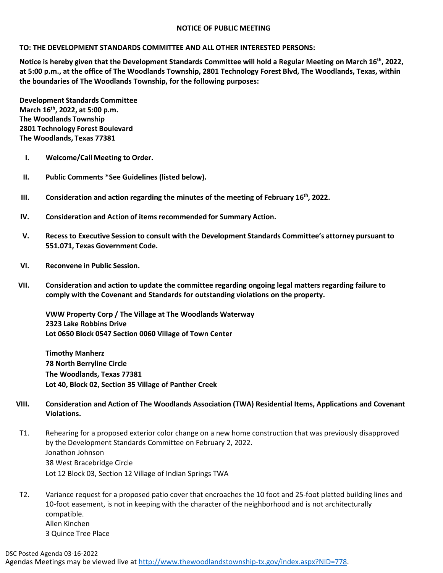## **NOTICE OF PUBLIC MEETING**

## **TO: THE DEVELOPMENT STANDARDS COMMITTEE AND ALL OTHER INTERESTED PERSONS:**

**Notice is hereby given that the Development Standards Committee will hold a Regular Meeting on March 16th, 2022, at 5:00 p.m., at the office of The Woodlands Township, 2801 Technology Forest Blvd, The Woodlands, Texas, within the boundaries of The Woodlands Township, for the following purposes:**

**Development Standards Committee March 16th, 2022, at 5:00 p.m. The Woodlands Township 2801 Technology Forest Boulevard The Woodlands, Texas 77381**

- **I. Welcome/Call Meeting to Order.**
- **II. Public Comments \*See Guidelines (listed below).**
- **III. Consideration and action regarding the minutes of the meeting of February 16th, 2022.**
- **IV. Consideration and Action of items recommended for Summary Action.**
- **V. Recessto Executive Session to consult with the Development Standards Committee's attorney pursuant to 551.071, Texas Government Code.**
- **VI. Reconvene in Public Session.**
- **VII. Consideration and action to update the committee regarding ongoing legal matters regarding failure to comply with the Covenant and Standards for outstanding violations on the property.**

**VWW Property Corp / The Village at The Woodlands Waterway 2323 Lake Robbins Drive Lot 0650 Block 0547 Section 0060 Village of Town Center**

**Timothy Manherz 78 North Berryline Circle The Woodlands, Texas 77381 Lot 40, Block 02, Section 35 Village of Panther Creek** 

- **VIII. Consideration and Action of The Woodlands Association (TWA) Residential Items, Applications and Covenant Violations.**
- T1. Rehearing for a proposed exterior color change on a new home construction that was previously disapproved by the Development Standards Committee on February 2, 2022. Jonathon Johnson 38 West Bracebridge Circle Lot 12 Block 03, Section 12 Village of Indian Springs TWA
- T2. Variance request for a proposed patio cover that encroaches the 10 foot and 25-foot platted building lines and 10-foot easement, is not in keeping with the character of the neighborhood and is not architecturally compatible. Allen Kinchen 3 Quince Tree Place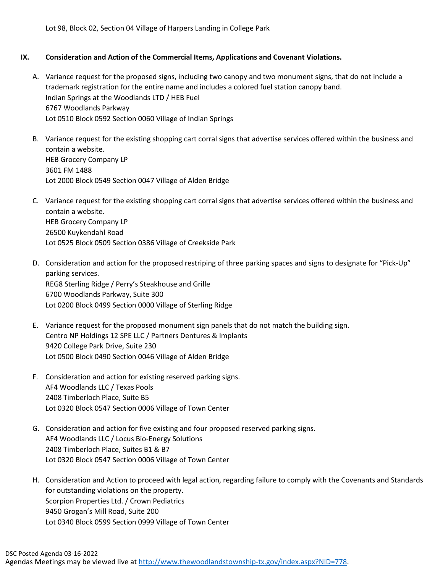Lot 98, Block 02, Section 04 Village of Harpers Landing in College Park

## **IX. Consideration and Action of the Commercial Items, Applications and Covenant Violations.**

- A. Variance request for the proposed signs, including two canopy and two monument signs, that do not include a trademark registration for the entire name and includes a colored fuel station canopy band. Indian Springs at the Woodlands LTD / HEB Fuel 6767 Woodlands Parkway Lot 0510 Block 0592 Section 0060 Village of Indian Springs
- B. Variance request for the existing shopping cart corral signs that advertise services offered within the business and contain a website. HEB Grocery Company LP 3601 FM 1488 Lot 2000 Block 0549 Section 0047 Village of Alden Bridge
- C. Variance request for the existing shopping cart corral signs that advertise services offered within the business and contain a website. HEB Grocery Company LP 26500 Kuykendahl Road Lot 0525 Block 0509 Section 0386 Village of Creekside Park
- D. Consideration and action for the proposed restriping of three parking spaces and signs to designate for "Pick-Up" parking services. REG8 Sterling Ridge / Perry's Steakhouse and Grille 6700 Woodlands Parkway, Suite 300 Lot 0200 Block 0499 Section 0000 Village of Sterling Ridge
- E. Variance request for the proposed monument sign panels that do not match the building sign. Centro NP Holdings 12 SPE LLC / Partners Dentures & Implants 9420 College Park Drive, Suite 230 Lot 0500 Block 0490 Section 0046 Village of Alden Bridge
- F. Consideration and action for existing reserved parking signs. AF4 Woodlands LLC / Texas Pools 2408 Timberloch Place, Suite B5 Lot 0320 Block 0547 Section 0006 Village of Town Center
- G. Consideration and action for five existing and four proposed reserved parking signs. AF4 Woodlands LLC / Locus Bio-Energy Solutions 2408 Timberloch Place, Suites B1 & B7 Lot 0320 Block 0547 Section 0006 Village of Town Center
- H. Consideration and Action to proceed with legal action, regarding failure to comply with the Covenants and Standards for outstanding violations on the property. Scorpion Properties Ltd. / Crown Pediatrics 9450 Grogan's Mill Road, Suite 200 Lot 0340 Block 0599 Section 0999 Village of Town Center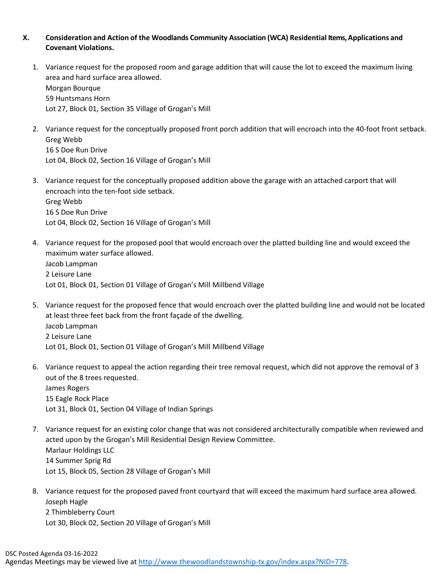## **X. Consideration and Action of the Woodlands Community Association (WCA) Residential Items, Applications and Covenant Violations.**

- 1. Variance request for the proposed room and garage addition that will cause the lot to exceed the maximum living area and hard surface area allowed. Morgan Bourque 59 Huntsmans Horn Lot 27, Block 01, Section 35 Village of Grogan's Mill
- 2. Variance request for the conceptually proposed front porch addition that will encroach into the 40-foot front setback. Greg Webb 16 S Doe Run Drive Lot 04, Block 02, Section 16 Village of Grogan's Mill
- 3. Variance request for the conceptually proposed addition above the garage with an attached carport that will encroach into the ten-foot side setback. Greg Webb 16 S Doe Run Drive Lot 04, Block 02, Section 16 Village of Grogan's Mill
- 4. Variance request for the proposed pool that would encroach over the platted building line and would exceed the maximum water surface allowed.

Jacob Lampman 2 Leisure Lane Lot 01, Block 01, Section 01 Village of Grogan's Mill Millbend Village

- 5. Variance request for the proposed fence that would encroach over the platted building line and would not be located at least three feet back from the front façade of the dwelling. Jacob Lampman 2 Leisure Lane Lot 01, Block 01, Section 01 Village of Grogan's Mill Millbend Village
- 6. Variance request to appeal the action regarding their tree removal request, which did not approve the removal of 3 out of the 8 trees requested. James Rogers 15 Eagle Rock Place Lot 31, Block 01, Section 04 Village of Indian Springs
- 7. Variance request for an existing color change that was not considered architecturally compatible when reviewed and acted upon by the Grogan's Mill Residential Design Review Committee. Marlaur Holdings LLC 14 Summer Sprig Rd Lot 15, Block 05, Section 28 Village of Grogan's Mill
- 8. Variance request for the proposed paved front courtyard that will exceed the maximum hard surface area allowed. Joseph Hagle 2 Thimbleberry Court Lot 30, Block 02, Section 20 Village of Grogan's Mill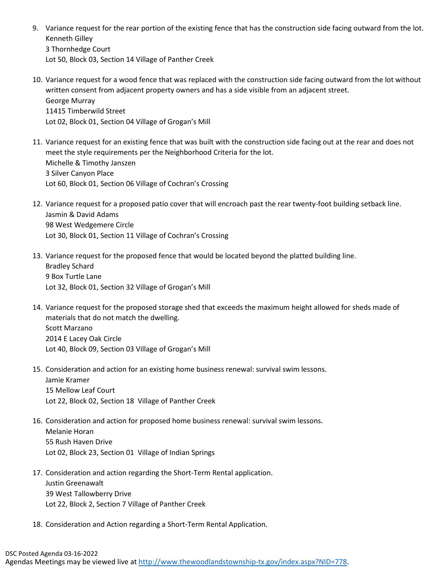9. Variance request for the rear portion of the existing fence that has the construction side facing outward from the lot. Kenneth Gilley 3 Thornhedge Court

Lot 50, Block 03, Section 14 Village of Panther Creek

- 10. Variance request for a wood fence that was replaced with the construction side facing outward from the lot without written consent from adjacent property owners and has a side visible from an adjacent street. George Murray 11415 Timberwild Street Lot 02, Block 01, Section 04 Village of Grogan's Mill
- 11. Variance request for an existing fence that was built with the construction side facing out at the rear and does not meet the style requirements per the Neighborhood Criteria for the lot. Michelle & Timothy Janszen 3 Silver Canyon Place Lot 60, Block 01, Section 06 Village of Cochran's Crossing
- 12. Variance request for a proposed patio cover that will encroach past the rear twenty-foot building setback line. Jasmin & David Adams 98 West Wedgemere Circle Lot 30, Block 01, Section 11 Village of Cochran's Crossing
- 13. Variance request for the proposed fence that would be located beyond the platted building line. Bradley Schard 9 Box Turtle Lane Lot 32, Block 01, Section 32 Village of Grogan's Mill
- 14. Variance request for the proposed storage shed that exceeds the maximum height allowed for sheds made of materials that do not match the dwelling. Scott Marzano 2014 E Lacey Oak Circle Lot 40, Block 09, Section 03 Village of Grogan's Mill
- 15. Consideration and action for an existing home business renewal: survival swim lessons. Jamie Kramer 15 Mellow Leaf Court Lot 22, Block 02, Section 18 Village of Panther Creek
- 16. Consideration and action for proposed home business renewal: survival swim lessons. Melanie Horan 55 Rush Haven Drive Lot 02, Block 23, Section 01 Village of Indian Springs
- 17. Consideration and action regarding the Short-Term Rental application. Justin Greenawalt 39 West Tallowberry Drive Lot 22, Block 2, Section 7 Village of Panther Creek
- 18. Consideration and Action regarding a Short-Term Rental Application.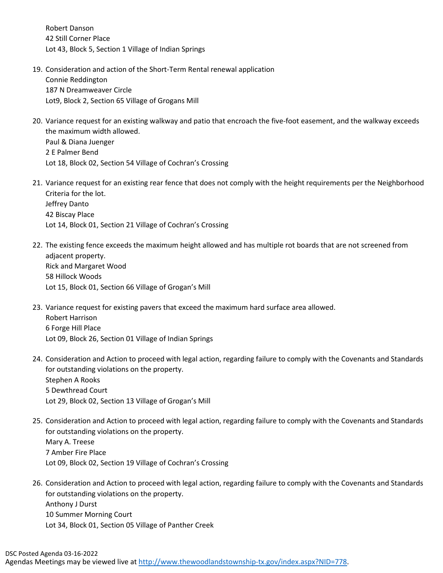Robert Danson 42 Still Corner Place Lot 43, Block 5, Section 1 Village of Indian Springs

- 19. Consideration and action of the Short-Term Rental renewal application Connie Reddington 187 N Dreamweaver Circle Lot9, Block 2, Section 65 Village of Grogans Mill
- 20. Variance request for an existing walkway and patio that encroach the five-foot easement, and the walkway exceeds the maximum width allowed. Paul & Diana Juenger 2 E Palmer Bend Lot 18, Block 02, Section 54 Village of Cochran's Crossing
- 21. Variance request for an existing rear fence that does not comply with the height requirements per the Neighborhood Criteria for the lot. Jeffrey Danto 42 Biscay Place Lot 14, Block 01, Section 21 Village of Cochran's Crossing
- 22. The existing fence exceeds the maximum height allowed and has multiple rot boards that are not screened from adjacent property. Rick and Margaret Wood 58 Hillock Woods Lot 15, Block 01, Section 66 Village of Grogan's Mill
- 23. Variance request for existing pavers that exceed the maximum hard surface area allowed. Robert Harrison 6 Forge Hill Place Lot 09, Block 26, Section 01 Village of Indian Springs
- 24. Consideration and Action to proceed with legal action, regarding failure to comply with the Covenants and Standards for outstanding violations on the property. Stephen A Rooks 5 Dewthread Court Lot 29, Block 02, Section 13 Village of Grogan's Mill
- 25. Consideration and Action to proceed with legal action, regarding failure to comply with the Covenants and Standards for outstanding violations on the property. Mary A. Treese 7 Amber Fire Place Lot 09, Block 02, Section 19 Village of Cochran's Crossing
- 26. Consideration and Action to proceed with legal action, regarding failure to comply with the Covenants and Standards for outstanding violations on the property. Anthony J Durst 10 Summer Morning Court Lot 34, Block 01, Section 05 Village of Panther Creek